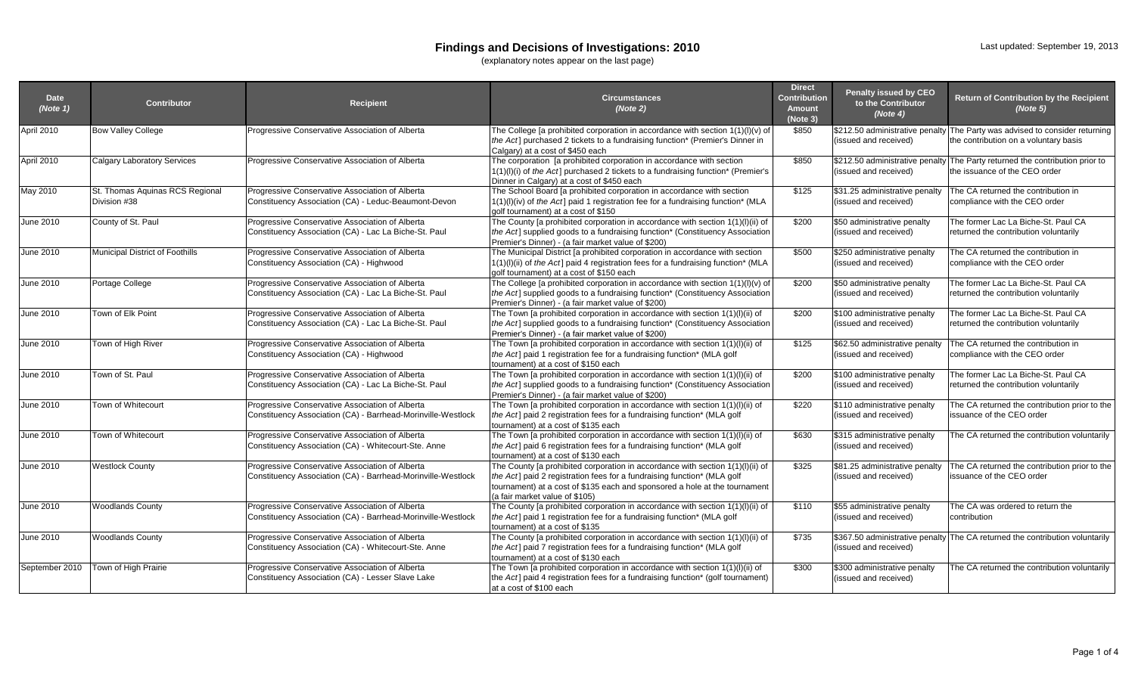### **Findings and Decisions of Investigations: 2010**

(explanatory notes appear on the last page)

| <b>Date</b><br>(Note 1) | <b>Contributor</b>                              | <b>Recipient</b>                                                                                                | <b>Circumstances</b><br>(Note 2)                                                                                                                                                                                                                                          | <b>Direct</b><br><b>Contribution</b><br><b>Amount</b><br>(Note 3) | <b>Penalty issued by CEO</b><br>to the Contributor<br>(Note 4) | Return of Contribution by the Recipient<br>(Note 5)                                                                  |
|-------------------------|-------------------------------------------------|-----------------------------------------------------------------------------------------------------------------|---------------------------------------------------------------------------------------------------------------------------------------------------------------------------------------------------------------------------------------------------------------------------|-------------------------------------------------------------------|----------------------------------------------------------------|----------------------------------------------------------------------------------------------------------------------|
| April 2010              | <b>Bow Valley College</b>                       | Progressive Conservative Association of Alberta                                                                 | The College [a prohibited corporation in accordance with section $1(1)(I)(v)$ of<br>the Act] purchased 2 tickets to a fundraising function* (Premier's Dinner in<br>Calgary) at a cost of \$450 each                                                                      | \$850                                                             | (issued and received)                                          | \$212.50 administrative penalty The Party was advised to consider returning<br>the contribution on a voluntary basis |
| April 2010              | <b>Calgary Laboratory Services</b>              | Progressive Conservative Association of Alberta                                                                 | The corporation [a prohibited corporation in accordance with section<br>1(1)(l)(i) of the Act] purchased 2 tickets to a fundraising function* (Premier's<br>Dinner in Calgary) at a cost of \$450 each                                                                    | \$850                                                             | \$212.50 administrative penalty<br>(issued and received)       | The Party returned the contribution prior to<br>the issuance of the CEO order                                        |
| May 2010                | St. Thomas Aquinas RCS Regional<br>Division #38 | Progressive Conservative Association of Alberta<br>Constituency Association (CA) - Leduc-Beaumont-Devon         | The School Board [a prohibited corporation in accordance with section<br>1(1)(l)(iv) of the Act] paid 1 registration fee for a fundraising function* (MLA<br>golf tournament) at a cost of \$150                                                                          | \$125                                                             | \$31.25 administrative penalty<br>(issued and received)        | The CA returned the contribution in<br>compliance with the CEO order                                                 |
| June 2010               | County of St. Paul                              | Progressive Conservative Association of Alberta<br>Constituency Association (CA) - Lac La Biche-St. Paul        | The County [a prohibited corporation in accordance with section 1(1)(l)(ii) of<br>the Act] supplied goods to a fundraising function* (Constituency Association<br>Premier's Dinner) - (a fair market value of \$200)                                                      | \$200                                                             | \$50 administrative penalty<br>(issued and received)           | The former Lac La Biche-St. Paul CA<br>returned the contribution voluntarily                                         |
| June 2010               | <b>Municipal District of Foothills</b>          | Progressive Conservative Association of Alberta<br>Constituency Association (CA) - Highwood                     | The Municipal District [a prohibited corporation in accordance with section<br>$1(1)(I)(ii)$ of the Act] paid 4 registration fees for a fundraising function* (MLA<br>golf tournament) at a cost of \$150 each                                                            | \$500                                                             | \$250 administrative penalty<br>(issued and received)          | The CA returned the contribution in<br>compliance with the CEO order                                                 |
| June 2010               | Portage College                                 | Progressive Conservative Association of Alberta<br>Constituency Association (CA) - Lac La Biche-St. Paul        | The College [a prohibited corporation in accordance with section $1(1)(I)(v)$ of<br>the Act] supplied goods to a fundraising function* (Constituency Association<br>Premier's Dinner) - (a fair market value of \$200)                                                    | \$200                                                             | \$50 administrative penalty<br>(issued and received)           | The former Lac La Biche-St. Paul CA<br>returned the contribution voluntarily                                         |
| June 2010               | Town of Elk Point                               | Progressive Conservative Association of Alberta<br>Constituency Association (CA) - Lac La Biche-St. Paul        | The Town [a prohibited corporation in accordance with section 1(1)(l)(ii) of<br>the Act] supplied goods to a fundraising function* (Constituency Association<br>Premier's Dinner) - (a fair market value of \$200)                                                        | \$200                                                             | \$100 administrative penalty<br>(issued and received)          | The former Lac La Biche-St. Paul CA<br>returned the contribution voluntarily                                         |
| June 2010               | Town of High River                              | Progressive Conservative Association of Alberta<br>Constituency Association (CA) - Highwood                     | The Town [a prohibited corporation in accordance with section 1(1)(l)(ii) of<br>the Act] paid 1 registration fee for a fundraising function* (MLA golf<br>tournament) at a cost of \$150 each                                                                             | \$125                                                             | \$62.50 administrative penalty<br>(issued and received)        | The CA returned the contribution in<br>compliance with the CEO order                                                 |
| June 2010               | Town of St. Paul                                | Progressive Conservative Association of Alberta<br>Constituency Association (CA) - Lac La Biche-St. Paul        | The Town [a prohibited corporation in accordance with section 1(1)(l)(ii) of<br>the Act] supplied goods to a fundraising function* (Constituency Association<br>Premier's Dinner) - (a fair market value of \$200)                                                        | \$200                                                             | \$100 administrative penalty<br>(issued and received)          | The former Lac La Biche-St. Paul CA<br>returned the contribution voluntarily                                         |
| June 2010               | Town of Whitecourt                              | Progressive Conservative Association of Alberta<br>Constituency Association (CA) - Barrhead-Morinville-Westlock | The Town [a prohibited corporation in accordance with section 1(1)(l)(ii) of<br>the Act] paid 2 registration fees for a fundraising function* (MLA golf<br>tournament) at a cost of \$135 each                                                                            | \$220                                                             | \$110 administrative penalty<br>(issued and received)          | The CA returned the contribution prior to the<br>issuance of the CEO order                                           |
| June 2010               | Town of Whitecourt                              | Progressive Conservative Association of Alberta<br>Constituency Association (CA) - Whitecourt-Ste. Anne         | The Town [a prohibited corporation in accordance with section 1(1)(l)(ii) of<br>the Act] paid 6 registration fees for a fundraising function* (MLA golf<br>tournament) at a cost of \$130 each                                                                            | \$630                                                             | \$315 administrative penalty<br>(issued and received)          | The CA returned the contribution voluntarily                                                                         |
| June 2010               | <b>Nestlock County</b>                          | Progressive Conservative Association of Alberta<br>Constituency Association (CA) - Barrhead-Morinville-Westlock | The County [a prohibited corporation in accordance with section 1(1)(l)(ii) of<br>the Act] paid 2 registration fees for a fundraising function* (MLA golf<br>tournament) at a cost of \$135 each and sponsored a hole at the tournament<br>(a fair market value of \$105) | \$325                                                             | \$81.25 administrative penalty<br>(issued and received)        | The CA returned the contribution prior to the<br>issuance of the CEO order                                           |
| June 2010               | <b>Woodlands County</b>                         | Progressive Conservative Association of Alberta<br>Constituency Association (CA) - Barrhead-Morinville-Westlock | The County [a prohibited corporation in accordance with section 1(1)(l)(ii) of<br>the Act] paid 1 registration fee for a fundraising function* (MLA golf<br>tournament) at a cost of \$135                                                                                | \$110                                                             | \$55 administrative penalty<br>(issued and received)           | The CA was ordered to return the<br>contribution                                                                     |
| June 2010               | <b>Woodlands County</b>                         | Progressive Conservative Association of Alberta<br>Constituency Association (CA) - Whitecourt-Ste. Anne         | The County [a prohibited corporation in accordance with section 1(1)(l)(ii) of<br>the Act] paid 7 registration fees for a fundraising function* (MLA golf<br>tournament) at a cost of \$130 each                                                                          | \$735                                                             | \$367.50 administrative penalty<br>(issued and received)       | The CA returned the contribution voluntarily                                                                         |
| September 2010          | Town of High Prairie                            | Progressive Conservative Association of Alberta<br>Constituency Association (CA) - Lesser Slave Lake            | The Town [a prohibited corporation in accordance with section 1(1)(l)(ii) of<br>the Act] paid 4 registration fees for a fundraising function* (golf tournament)<br>at a cost of \$100 each                                                                                | \$300                                                             | \$300 administrative penalty<br>(issued and received)          | The CA returned the contribution voluntarily                                                                         |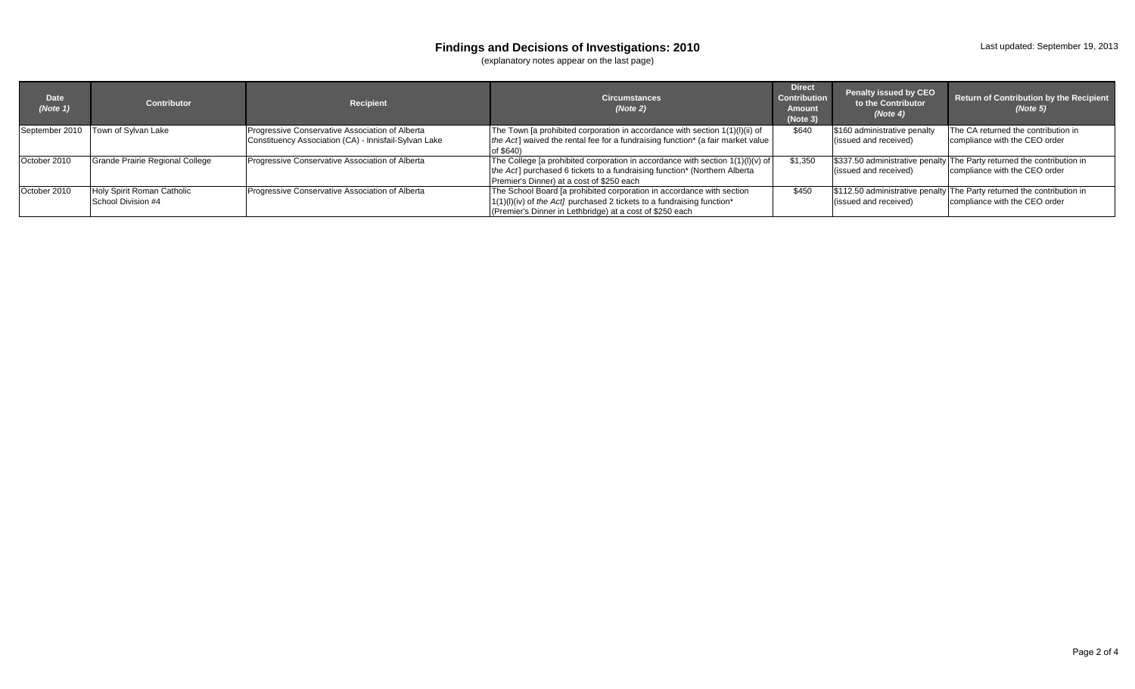#### **Findings and Decisions of Investigations: 2010**

(explanatory notes appear on the last page)

| <b>Date</b><br>(Note 1) | Contributor                                      | Recipient                                                                                                | <b>Circumstances</b><br>(Note 2)                                                                                                                                                                                | <b>Direct</b><br><b>Contribution</b><br><b>Amount</b><br>(Note 3) | <b>Penalty issued by CEO</b><br>to the Contributor<br>(Note 4) | Return of Contribution by the Recipient<br>(Note 5)                                                     |
|-------------------------|--------------------------------------------------|----------------------------------------------------------------------------------------------------------|-----------------------------------------------------------------------------------------------------------------------------------------------------------------------------------------------------------------|-------------------------------------------------------------------|----------------------------------------------------------------|---------------------------------------------------------------------------------------------------------|
|                         | September 2010 Town of Sylvan Lake               | Progressive Conservative Association of Alberta<br>Constituency Association (CA) - Innisfail-Sylvan Lake | The Town [a prohibited corporation in accordance with section 1(1)(I)(ii) of<br>the Act] waived the rental fee for a fundraising function* (a fair market value<br>of \$640)                                    | \$640                                                             | \$160 administrative penalty<br>(issued and received)          | The CA returned the contribution in<br>compliance with the CEO order                                    |
| October 2010            | Grande Prairie Regional College                  | Progressive Conservative Association of Alberta                                                          | The College [a prohibited corporation in accordance with section $1(1)(I)(v)$ of<br>the Act] purchased 6 tickets to a fundraising function* (Northern Alberta<br>Premier's Dinner) at a cost of \$250 each      | \$1,350                                                           | (issued and received)                                          | \$337.50 administrative penalty The Party returned the contribution in<br>compliance with the CEO order |
| October 2010            | Holy Spirit Roman Catholic<br>School Division #4 | Progressive Conservative Association of Alberta                                                          | The School Board [a prohibited corporation in accordance with section<br>$(1(1)(I)(iv))$ of the Act] purchased 2 tickets to a fundraising function*<br>(Premier's Dinner in Lethbridge) at a cost of \$250 each | \$450                                                             | (issued and received)                                          | \$112.50 administrative penalty The Party returned the contribution in<br>compliance with the CEO order |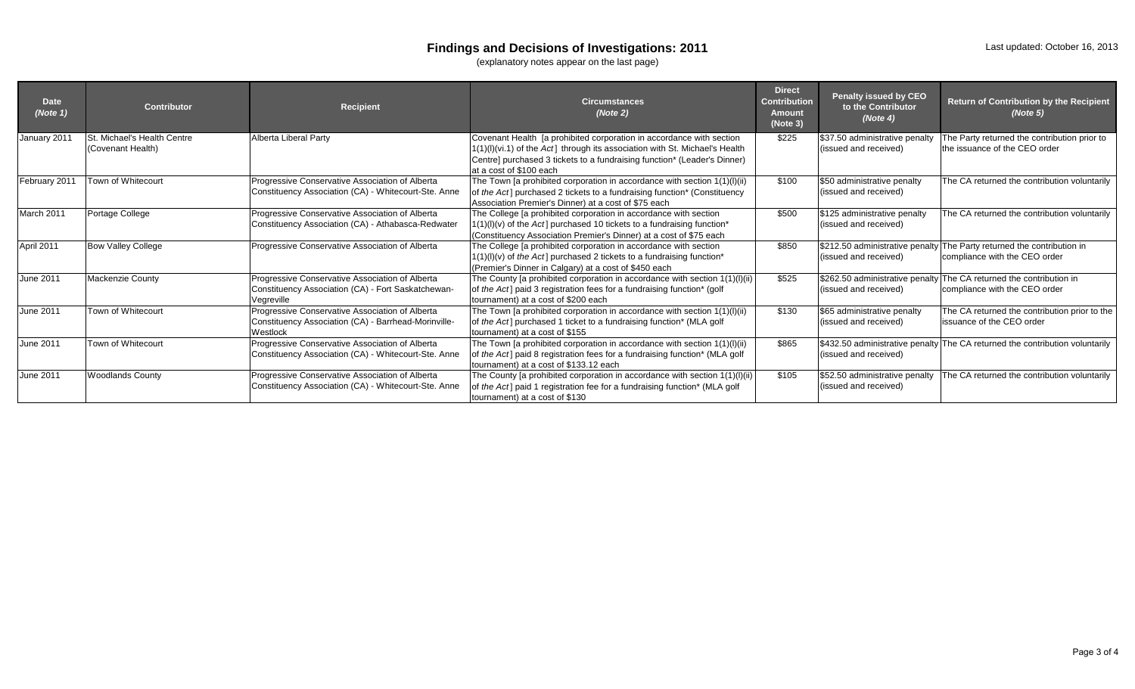### **Findings and Decisions of Investigations: 2011**

(explanatory notes appear on the last page)

| <b>Date</b><br>(Note 1) | <b>Contributor</b>                               | <b>Recipient</b>                                                                                                    | <b>Circumstances</b><br>(Note 2)                                                                                                                                                                                                                           | <b>Direct</b><br><b>Contribution</b><br><b>Amount</b><br>(Note 3) | Penalty issued by CEO<br>to the Contributor<br>(Note 4) | Return of Contribution by the Recipient<br>(Note 5)                                                     |
|-------------------------|--------------------------------------------------|---------------------------------------------------------------------------------------------------------------------|------------------------------------------------------------------------------------------------------------------------------------------------------------------------------------------------------------------------------------------------------------|-------------------------------------------------------------------|---------------------------------------------------------|---------------------------------------------------------------------------------------------------------|
| January 2011            | St. Michael's Health Centre<br>(Covenant Health) | Alberta Liberal Party                                                                                               | Covenant Health [a prohibited corporation in accordance with section<br>1(1)(I)(vi.1) of the Act] through its association with St. Michael's Health<br>Centre] purchased 3 tickets to a fundraising function* (Leader's Dinner)<br>at a cost of \$100 each | \$225                                                             | \$37.50 administrative penalty<br>(issued and received) | The Party returned the contribution prior to<br>the issuance of the CEO order                           |
| February 2011           | Town of Whitecourt                               | Progressive Conservative Association of Alberta<br>Constituency Association (CA) - Whitecourt-Ste. Anne             | The Town [a prohibited corporation in accordance with section 1(1)(l)(ii)<br>of the Act] purchased 2 tickets to a fundraising function* (Constituency<br>Association Premier's Dinner) at a cost of \$75 each                                              | \$100                                                             | \$50 administrative penalty<br>(issued and received)    | The CA returned the contribution voluntarily                                                            |
| March 2011              | Portage College                                  | Progressive Conservative Association of Alberta<br>Constituency Association (CA) - Athabasca-Redwater               | The College [a prohibited corporation in accordance with section<br>1(1)(I)(v) of the Act] purchased 10 tickets to a fundraising function*<br>(Constituency Association Premier's Dinner) at a cost of \$75 each                                           | \$500                                                             | \$125 administrative penalty<br>(issued and received)   | The CA returned the contribution voluntarily                                                            |
| April 2011              | <b>Bow Valley College</b>                        | Progressive Conservative Association of Alberta                                                                     | The College [a prohibited corporation in accordance with section<br>$1(1)(I)(V)$ of the Act] purchased 2 tickets to a fundraising function*<br>(Premier's Dinner in Calgary) at a cost of \$450 each                                                       | \$850                                                             | (issued and received)                                   | \$212.50 administrative penalty The Party returned the contribution in<br>compliance with the CEO order |
| June 2011               | <b>Mackenzie County</b>                          | Progressive Conservative Association of Alberta<br>Constituency Association (CA) - Fort Saskatchewan-<br>Vegreville | The County [a prohibited corporation in accordance with section 1(1)(l)(ii)<br>of the Act] paid 3 registration fees for a fundraising function* (golf<br>tournament) at a cost of \$200 each                                                               | \$525                                                             | (issued and received)                                   | \$262.50 administrative penalty The CA returned the contribution in<br>compliance with the CEO order    |
| June 2011               | Town of Whitecourt                               | Progressive Conservative Association of Alberta<br>Constituency Association (CA) - Barrhead-Morinville-<br>Westlock | The Town [a prohibited corporation in accordance with section 1(1)(l)(ii)<br>of the Act] purchased 1 ticket to a fundraising function* (MLA golf<br>tournament) at a cost of \$155                                                                         | \$130                                                             | \$65 administrative penalty<br>(issued and received)    | The CA returned the contribution prior to the<br>issuance of the CEO order                              |
| June 2011               | Town of Whitecourt                               | Progressive Conservative Association of Alberta<br>Constituency Association (CA) - Whitecourt-Ste. Anne             | The Town [a prohibited corporation in accordance with section 1(1)(l)(ii)<br>of the Act] paid 8 registration fees for a fundraising function* (MLA golf<br>tournament) at a cost of \$133.12 each                                                          | \$865                                                             | (issued and received)                                   | \$432.50 administrative penalty The CA returned the contribution voluntarily                            |
| June 2011               | <b>Woodlands County</b>                          | Progressive Conservative Association of Alberta<br>Constituency Association (CA) - Whitecourt-Ste. Anne             | The County [a prohibited corporation in accordance with section 1(1)(l)(ii)<br>of the Act] paid 1 registration fee for a fundraising function* (MLA golf<br>tournament) at a cost of \$130                                                                 | \$105                                                             | \$52.50 administrative penalty<br>(issued and received) | The CA returned the contribution voluntarily                                                            |